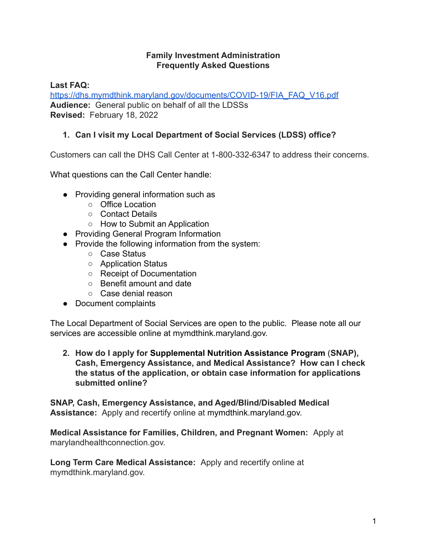#### **Family Investment Administration Frequently Asked Questions**

**Last FAQ:**

[https://dhs.mymdthink.maryland.gov/documents/COVID-19/FIA\\_FAQ\\_V16.pdf](https://dhs.mymdthink.maryland.gov/documents/COVID-19/FIA_FAQ_V16.pdf) **Audience:** General public on behalf of all the LDSSs **Revised:** February 18, 2022

## **1. Can I visit my Local Department of Social Services (LDSS) office?**

Customers can call the DHS Call Center at 1-800-332-6347 to address their concerns.

What questions can the Call Center handle:

- Providing general information such as
	- Office Location
	- Contact Details
	- How to Submit an Application
- Providing General Program Information
- Provide the following information from the system:
	- Case Status
	- Application Status
	- Receipt of Documentation
	- Benefit amount and date
	- Case denial reason
- Document complaints

The Local Department of Social Services are open to the public. Please note all our services are accessible online at mymdthink.maryland.gov.

**2. How do I apply for Supplemental Nutrition Assistance Program** (**SNAP), Cash, Emergency Assistance, and Medical Assistance? How can I check the status of the application, or obtain case information for applications submitted online?**

**SNAP, Cash, Emergency Assistance, and Aged/Blind/Disabled Medical Assistance:** Apply and recertify online at mymdthink.maryland.gov.

**Medical Assistance for Families, Children, and Pregnant Women:** Apply at marylandhealthconnection.gov.

**Long Term Care Medical Assistance:** Apply and recertify online at mymdthink.maryland.gov.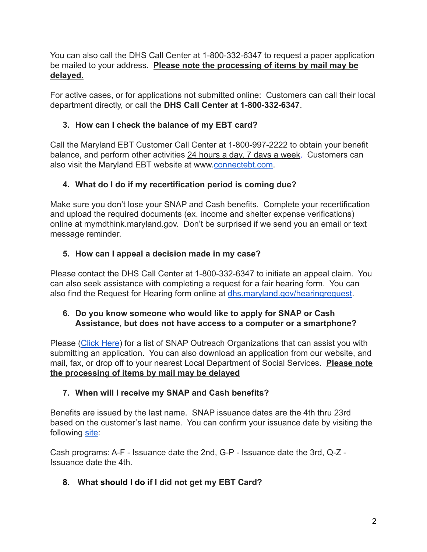You can also call the DHS Call Center at 1-800-332-6347 to request a paper application be mailed to your address. **Please note the processing of items by mail may be delayed.**

For active cases, or for applications not submitted online: Customers can call their local department directly, or call the **DHS Call Center at 1-800-332-6347**.

## **3. How can I check the balance of my EBT card?**

Call the Maryland EBT Customer Call Center at 1-800-997-2222 to obtain your benefit balance, and perform other activities 24 hours a day, 7 days a week. Customers can also visit the Maryland EBT website at [www.connectebt.com](http://www.connectebt.com/).

## **4. What do I do if my recertification period is coming due?**

Make sure you don't lose your SNAP and Cash benefits. Complete your recertification and upload the required documents (ex. income and shelter expense verifications) online at mymdthink.maryland.gov. Don't be surprised if we send you an email or text message reminder.

## **5. How can I appeal a decision made in my case?**

Please contact the DHS Call Center at 1-800-332-6347 to initiate an appeal claim. You can also seek assistance with completing a request for a fair hearing form. You can also find the Request for Hearing form online at [dhs.maryland.gov/hearingrequest.](https://dhs.maryland.gov/documents/DHR%20Forms/FIA%20Forms/English/Other-Forms/3%20Request%20Appeal%20for%20Hearing/DHS_FIA_334-Request-For-Fair-Hearing-4.1.2021-fillable.pdf)

### **6. Do you know someone who would like to apply for SNAP or Cash Assistance, but does not have access to a computer or a smartphone?**

Please ([Click Here](https://dhs.maryland.gov/supplemental-nutrition-assistance-program/snap-outreach-program/snap-outreach-community-based-organizations/)) for a list of SNAP Outreach Organizations that can assist you with submitting an application. You can also download an application from our website, and mail, fax, or drop off to your nearest Local Department of Social Services. **Please note the processing of items by mail may be delayed**

## **7. When will I receive my SNAP and Cash benefits?**

Benefits are issued by the last name. SNAP issuance dates are the 4th thru 23rd based on the customer's last name. You can confirm your issuance date by visiting the following [site:](https://dhs.maryland.gov/supplemental-nutrition-assistance-program/food-supplement-benefits-schedule/)

Cash programs: A-F - Issuance date the 2nd, G-P - Issuance date the 3rd, Q-Z - Issuance date the 4th.

# **8. What should I do if I did not get my EBT Card?**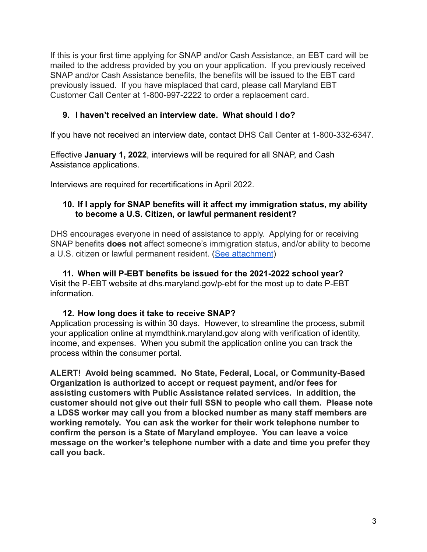If this is your first time applying for SNAP and/or Cash Assistance, an EBT card will be mailed to the address provided by you on your application. If you previously received SNAP and/or Cash Assistance benefits, the benefits will be issued to the EBT card previously issued. If you have misplaced that card, please call Maryland EBT Customer Call Center at 1-800-997-2222 to order a replacement card.

### **9. I haven't received an interview date. What should I do?**

If you have not received an interview date, contact DHS Call Center at 1-800-332-6347.

Effective **January 1, 2022**, interviews will be required for all SNAP, and Cash Assistance applications.

Interviews are required for recertifications in April 2022.

#### **10. If I apply for SNAP benefits will it affect my immigration status, my ability to become a U.S. Citizen, or lawful permanent resident?**

DHS encourages everyone in need of assistance to apply. Applying for or receiving SNAP benefits **does not** affect someone's immigration status, and/or ability to become a U.S. citizen or lawful permanent resident. (See [attachment](https://fns-prod.azureedge.net/sites/default/files/resource-files/letter-snap-commissioners-2022.pdf))

**11. When will P-EBT benefits be issued for the 2021-2022 school year?** Visit the P-EBT website at dhs.maryland.gov/p-ebt for the most up to date P-EBT information.

### **12. How long does it take to receive SNAP?**

Application processing is within 30 days. However, to streamline the process, submit your application online at mymdthink.maryland.gov along with verification of identity, income, and expenses. When you submit the application online you can track the process within the consumer portal.

**ALERT! Avoid being scammed. No State, Federal, Local, or Community-Based Organization is authorized to accept or request payment, and/or fees for assisting customers with Public Assistance related services. In addition, the customer should not give out their full SSN to people who call them. Please note a LDSS worker may call you from a blocked number as many staff members are working remotely. You can ask the worker for their work telephone number to confirm the person is a State of Maryland employee. You can leave a voice message on the worker's telephone number with a date and time you prefer they call you back.**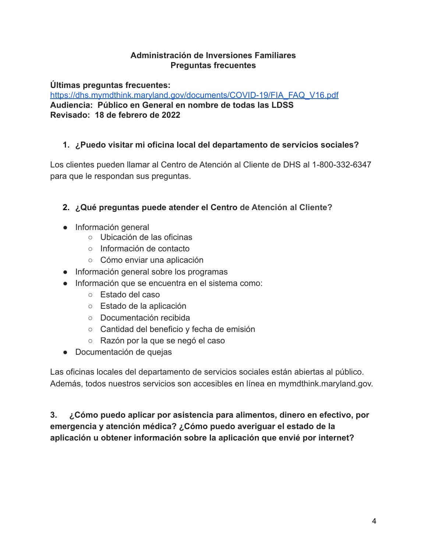### **Administración de Inversiones Familiares Preguntas frecuentes**

**Últimas preguntas frecuentes:**

[https://dhs.mymdthink.maryland.gov/documents/COVID-19/FIA\\_FAQ\\_V16.pdf](https://dhs.mymdthink.maryland.gov/documents/COVID-19/FIA_FAQ_V16.pdf) **Audiencia: Público en General en nombre de todas las LDSS Revisado: 18 de febrero de 2022**

# **1. ¿Puedo visitar mi oficina local del departamento de servicios sociales?**

Los clientes pueden llamar al Centro de Atención al Cliente de DHS al 1-800-332-6347 para que le respondan sus preguntas.

# **2. ¿Qué preguntas puede atender el Centro de Atención al Cliente?**

- Información general
	- Ubicación de las oficinas
	- Información de contacto
	- Cómo enviar una aplicación
- Información general sobre los programas
- Información que se encuentra en el sistema como:
	- Estado del caso
	- Estado de la aplicación
	- Documentación recibida
	- Cantidad del beneficio y fecha de emisión
	- Razón por la que se negó el caso
- Documentación de quejas

Las oficinas locales del departamento de servicios sociales están abiertas al público. Además, todos nuestros servicios son accesibles en línea en mymdthink.maryland.gov.

# **3. ¿Cómo puedo aplicar por asistencia para alimentos, dinero en efectivo, por emergencia y atención médica? ¿Cómo puedo averiguar el estado de la aplicación u obtener información sobre la aplicación que envié por internet?**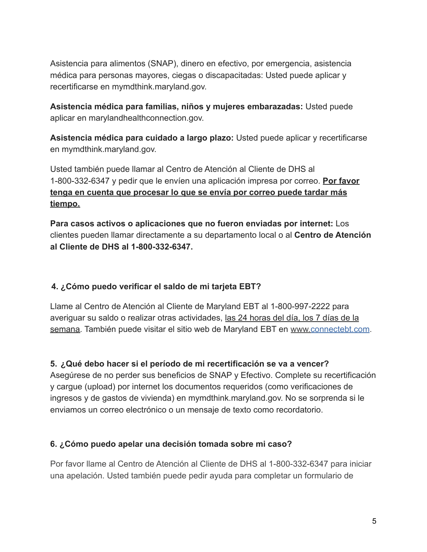Asistencia para alimentos (SNAP), dinero en efectivo, por emergencia, asistencia médica para personas mayores, ciegas o discapacitadas: Usted puede aplicar y recertificarse en mymdthink.maryland.gov.

**Asistencia médica para familias, niños y mujeres embarazadas:** Usted puede aplicar en marylandhealthconnection.gov.

**Asistencia médica para cuidado a largo plazo:** Usted puede aplicar y recertificarse en mymdthink.maryland.gov.

Usted también puede llamar al Centro de Atención al Cliente de DHS al 1-800-332-6347 y pedir que le envíen una aplicación impresa por correo. **Por favor tenga en cuenta que procesar lo que se envía por correo puede tardar más tiempo.**

**Para casos activos o aplicaciones que no fueron enviadas por internet:** Los clientes pueden llamar directamente a su departamento local o al **Centro de Atención al Cliente de DHS al 1-800-332-6347.**

## **4. ¿Cómo puedo verificar el saldo de mi tarjeta EBT?**

Llame al Centro de Atención al Cliente de Maryland EBT al 1-800-997-2222 para averiguar su saldo o realizar otras actividades, las 24 horas del día, los 7 días de la semana. También puede visitar el sitio web de Maryland EBT en www.connectebt.com.

### **5. ¿Qué debo hacer si el período de mi recertificación se va a vencer?**

Asegúrese de no perder sus beneficios de SNAP y Efectivo. Complete su recertificación y cargue (upload) por internet los documentos requeridos (como verificaciones de ingresos y de gastos de vivienda) en mymdthink.maryland.gov. No se sorprenda si le enviamos un correo electrónico o un mensaje de texto como recordatorio.

### **6. ¿Cómo puedo apelar una decisión tomada sobre mi caso?**

Por favor llame al Centro de Atención al Cliente de DHS al 1-800-332-6347 para iniciar una apelación. Usted también puede pedir ayuda para completar un formulario de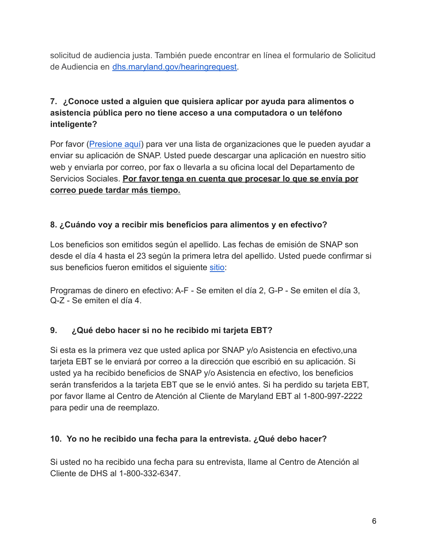solicitud de audiencia justa. También puede encontrar en línea el formulario de Solicitud de Audiencia en [dhs.maryland.gov/hearingrequest.](https://dhs.maryland.gov/documents/DHR%20Forms/FIA%20Forms/English/Other-Forms/3%20Request%20Appeal%20for%20Hearing/DHS_FIA_334-Request-For-Fair-Hearing-4.1.2021-fillable.pdf)

# **7. ¿Conoce usted a alguien que quisiera aplicar por ayuda para alimentos o asistencia pública pero no tiene acceso a una computadora o un teléfono inteligente?**

Por favor ([Presione aquí](https://dhs.maryland.gov/supplemental-nutrition-assistance-program/snap-outreach-program/snap-outreach-community-based-organizations/)) para ver una lista de organizaciones que le pueden ayudar a enviar su aplicación de SNAP. Usted puede descargar una aplicación en nuestro sitio web y enviarla por correo, por fax o llevarla a su oficina local del Departamento de Servicios Sociales. **Por favor tenga en cuenta que procesar lo que se envía por correo puede tardar más tiempo.**

## **8. ¿Cuándo voy a recibir mis beneficios para alimentos y en efectivo?**

Los beneficios son emitidos según el apellido. Las fechas de emisión de SNAP son desde el día 4 hasta el 23 según la primera letra del apellido. Usted puede confirmar si sus beneficios fueron emitidos el siguiente [sitio](https://dhs.maryland.gov/supplemental-nutrition-assistance-program/food-supplement-benefits-schedule/):

Programas de dinero en efectivo: A-F - Se emiten el día 2, G-P - Se emiten el día 3, Q-Z - Se emiten el día 4.

## **9. ¿Qué debo hacer si no he recibido mi tarjeta EBT?**

Si esta es la primera vez que usted aplica por SNAP y/o Asistencia en efectivo,una tarjeta EBT se le enviará por correo a la dirección que escribió en su aplicación. Si usted ya ha recibido beneficios de SNAP y/o Asistencia en efectivo, los beneficios serán transferidos a la tarjeta EBT que se le envió antes. Si ha perdido su tarjeta EBT, por favor llame al Centro de Atención al Cliente de Maryland EBT al 1-800-997-2222 para pedir una de reemplazo.

## **10. Yo no he recibido una fecha para la entrevista. ¿Qué debo hacer?**

Si usted no ha recibido una fecha para su entrevista, llame al Centro de Atención al Cliente de DHS al 1-800-332-6347.